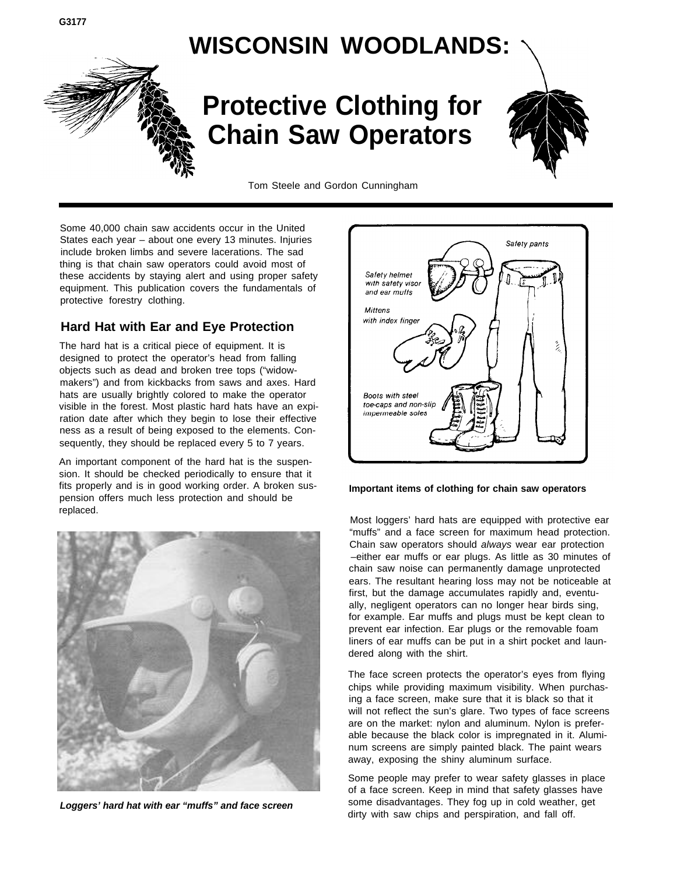## **WISCONSIN WOODLANDS:**



# **Protective Clothing for Chain Saw Operators**



Tom Steele and Gordon Cunningham

Some 40,000 chain saw accidents occur in the United States each year – about one every 13 minutes. Injuries include broken limbs and severe lacerations. The sad thing is that chain saw operators could avoid most of these accidents by staying alert and using proper safety equipment. This publication covers the fundamentals of protective forestry clothing.

## **Hard Hat with Ear and Eye Protection**

The hard hat is a critical piece of equipment. It is designed to protect the operator's head from falling objects such as dead and broken tree tops ("widowmakers") and from kickbacks from saws and axes. Hard hats are usually brightly colored to make the operator visible in the forest. Most plastic hard hats have an expiration date after which they begin to lose their effective ness as a result of being exposed to the elements. Consequently, they should be replaced every 5 to 7 years.

An important component of the hard hat is the suspension. It should be checked periodically to ensure that it fits properly and is in good working order. A broken suspension offers much less protection and should be replaced.



**Loggers' hard hat with ear "muffs" and face screen**



#### **Important items of clothing for chain saw operators**

Most loggers' hard hats are equipped with protective ear "muffs" and a face screen for maximum head protection. Chain saw operators should always wear ear protection –either ear muffs or ear plugs. As little as 30 minutes of chain saw noise can permanently damage unprotected ears. The resultant hearing loss may not be noticeable at first, but the damage accumulates rapidly and, eventually, negligent operators can no longer hear birds sing, for example. Ear muffs and plugs must be kept clean to prevent ear infection. Ear plugs or the removable foam liners of ear muffs can be put in a shirt pocket and laundered along with the shirt.

The face screen protects the operator's eyes from flying chips while providing maximum visibility. When purchasing a face screen, make sure that it is black so that it will not reflect the sun's glare. Two types of face screens are on the market: nylon and aluminum. Nylon is preferable because the black color is impregnated in it. Aluminum screens are simply painted black. The paint wears away, exposing the shiny aluminum surface.

Some people may prefer to wear safety glasses in place of a face screen. Keep in mind that safety glasses have some disadvantages. They fog up in cold weather, get dirty with saw chips and perspiration, and fall off.